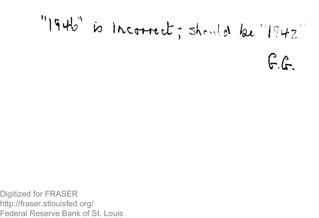"I946" is incorrect; should be "1942"

 $G.f.$ 

Digitized for FRASER http://fraser.stlouisfed.org/ Federal Reserve Bank of St. Louis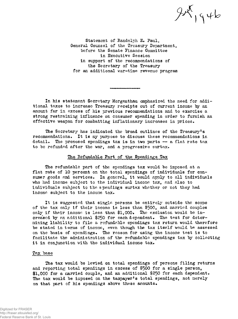$95$ 

Statement of Randolph E. Paul, General Counsel of the Treasury Department, before the Senate Finance Committee in Executive Session in support of the recommendations of the Secretary of the Treasury for an additional war-time revenue program

In his statement Secretary Morgenthau emphasized the need for additional taxes to increase Treasury receipts out of current income by an amount far in excess of his previous recommendations and to exercise a strong restraining influence on consumer spending in order to furnish an effective weapon for combatting inflationary increases in prices.

The Secretary has indicated the broad outlines of the Treasury's recommendations. It is my purpose to discuss these recommendations in detail. The proposed spendings tax is in two parts — a flat rate tax to be refunded after the war, and a progressive surtax.

### The Refundable Part of the Spendings Tax

The refundable part of the spendings tax would be imposed at a flat rate of 10 percent on the total spendings of individuals for consumer goods and services. In general, it would apply to all individuals who had income subject to the individual income tax, and also to individuals subject to the spendings surtax whether or not they had income subject to the income tax.

It is suggested that single persons be entirely outside the scope of the tax only if their income is less than \$500, and married couples only if their income is less than \$1,000. The exclusion would be increased by an additional \$250 for each dependent. The test for determining liability to file a refundable spendings tax return would therefore be stated in terms of income, even though the tax itself would be assessed on the basis of spendings. The reason for using the income test is to facilitate the administration of the refundable spendings tax by collecting it in conjunction with the individual income tax.

#### Tax base

The tax would be levied on total spendings of persons filing returns and reporting total spendings in excess of \$500 for a single person,  $$1,000$  for a married couple, and an additional \$250 for each dependent. The tax would be imposed on the taxpayer's total spendings, not merely on that part of his spendings above these amounts.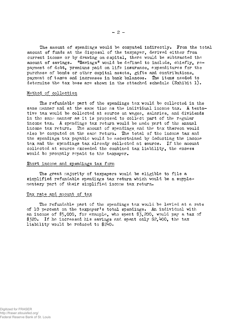The amount of spendings would be computed indirectly. From the total amount of funds at the disposal of the taxpayer, derived either from current income or by drawing on capital, there would be subtracted the amount of savings.  $"Savings"$  would be defined to include, chiefly, repayment of debt, premiums paid on life insurance, expenditures for the purchase of bonds or other capital assets, gifts and contributions, payment of taxes and increases in bank balances. The items needed to determine the tax base are shown in the attached schedule  $(Exhibit 1)$ .

#### Method of collection

The refundable part of the spendings tax would be collected in the same manner and at the same time as the individual income tax. A tentative tax would be collected at source on wages, salaries, and dividends in the same manner as it is proposed to collect part of the regular income tax. A spendings tax return would be made part of the annual income tax return. The amount of spendings and the tax thereon would also be computed on the sane return. The total of the income tax and the spendings tax payable would be ascertained by deducting the income tax and the spendings tax already collected at source. If the amount collected at source exceeded the combined tax liability, the excess would be promptly repaid to the taxpayer.

#### Short income and spendings tax form

The great majority of taxpayers would be eligible to file a simplified refundable spendings tax return which would be a supplementary part of their simplified income tax return.

### Tax rate and amount of tax

The refundable part of the spendings tax would be levied at a rate of 10 percent on the taxpayer's total spendings. An individual with an income of \$5,000, for example, who spent \$3,200, would pay a tax of  $$320.$  If he increased his savings and spent only \$2,400, the tax liability would be reduced to \$240.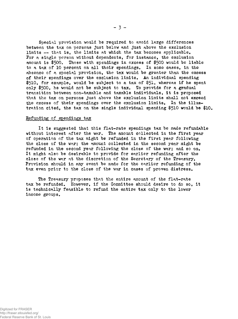Special provision would be required to avoid large differences between the tax on persons just below and just above the exclusion limits  $-$  that is, the limits at which the tax becomes applicable. For a single person without dependents, for instance, the exclusion amount is \$500. Those with spendings in excess of \$500 would be liable to a tax of 10 percent on all their spendings. In some cases, in the absence of a special provision, the tax would be greater than the excess of their spendings over the exclusion limits. An individual spending \$510, for example, would be subject to a tax of \$51» whereas if he spent only \$500, he would not be subject to tax. To provide for a gradual transition between non-taxable and taxable individuals, it is proposed that the tax on persons just above the exclusion limits shall not exceed the excess of their spendings over the exclusion limits. In the illustration cited, the tax on the single individual spending \$510 would be \$10.

#### Refunding of spendings tax

It is suggested that this flat-rate spendings tax be made refundable without interest after the war. The amount collected in the first year of operation of the tax might be refunded in the first year following the close of the war; the amount collected in the second year might be refunded in the second year following the close of the war; and so on. It might also be desirable to provide for earlier refunding after the close of the war at the discretion of the Secretary of the Treasury. Provision should in any event be made for the earlier refunding of the tax even prior to the close of the war in cases of proven distress.

The Treasury proposes that the entire amount of the flat-rate tax be refunded. However, if the Committee should desire to do so, it is technically feasible to refund the entire tax only to the lower income groups.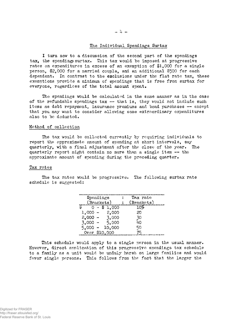### The Individual Spendings Surtax

I turn now to a discussion of the second part of the spendings tax, the spendings surtax. This tax would be imposed at progressive rates on expenditures in excess of an exemption of \$1,000 for a single person, \$2,000 for a married couple, and an additional \$500 for each dependent. In contrast to the exclusions under the flat rate tax, these exemptions provide a minimum of spendings that is free from surtax for everyone, regardless of the total amount spent.

The spendings would be calculated in the same manner as in the case of the refundable spendings tax  $-$  that is, they would not include such items as debt repayment, insurance premiums and bond purchases — except that you may want to consider allowing some extraordinary expenditures also to be deducted.

#### Method of collection

The tax would be collected currently by requiring individuals to report the approximate amount of spending at short intervals, say quarterly, with a final adjustment after the close of the year. The quarterly report might contain no more than a single item — the approximate amount of spending during the preceding quarter.

#### Tax rates

The tax rates would be progressive. The following surtax rate schedule is suggested:

| Spendings<br>(Brackets) | Tax rate<br>(Brackets) |
|-------------------------|------------------------|
| \$1.000                 | 10%                    |
| 2,000<br>$1,000 -$      | 20                     |
| $2,000 -$<br>3,000      | 30                     |
| $3,000 -$<br>5,000      | ഥറ                     |
| $5.000 -$<br>10,000     | 50                     |
| Over \$10,000           | 75                     |

This schedule would apply to a single person in the usual manner. However, direct application of this progressive spendings tax schedule to a family as a unit would be unduly harsh on large families and would favor single persons. This follows from the fact that the larger the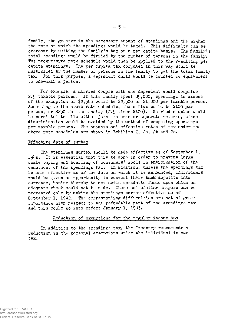family, the greater is the necessary amount of spendings and the higher the rate at which the spendings would be taxed. This difficulty can be overcome by putting the family's tax on a per capita basis. The family's total spendings would be divided by the number of persons in the family. The progressive rate schedule would then be applied to the resulting per capita spendings. The per capita tax computed in this way would be multiplied by the number of persons in the family to get the total family tax. For this purpose, a dependent child would be counted as equivalent to one-half a person.

For example, a married couple with one dependent would comprise 2.5 taxable persons. If this family spent  $$5,000$ , spendings in excess of the exemption of \$2.500 would be  $$2,500$  or  $$1,000$  per taxable person. According to the above rate schedule, the surtax would be \$100 per person, or \$250 for the family (2.5 times \$100). Married couples would be permitted to file either joint returns or separate returns, since discrimination would be avoided by the method of computing spendings per taxable person. The amounts and effective rates of tax under the above rate schedules are shown in Exhibits 2, 2a, 2b and 2c.

#### Effective date of surtax

The spendings surtax should be made effective as of September 1,  $1942.$  It is essential that this be done in order to prevent large scale buying and hoarding of consumers' goods in anticipation of the enactment of the spendings tax. In addition, unless the spendings tax is made effective as of the date on which it is announced, individuals would be given an opportunity to convert their bank deposits into currency, hoping thereby to set aside spendable funds upon which an adequate check could not be made. These and similar dangers can be prevented only by making the spendings surtax effective as of September 1, 1942. The corresponding difficulties are not of great importance with respect to the refundable part of the spendings tax and this could go into effect January 1,  $1943*$ 

#### Reduction of exemptions for the regular income tax

In addition to the spendings tax, the Treasury recommends a reduction in the personal exemptions under the individual income tax.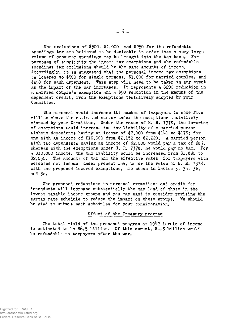The exclusions of \$500, \$1,000, and \$250 for the refundable spendings tax are believed to be desirable in order that a very large volume of consumer spendings may be brought into the tax base, For purposes of simplicity the income tax exemptions and the refundable spendings tax exclusions should be the same amounts of income. Accordingly, it is suggested that the personal income tax exemptions be lowered to \$500 for single persons, \$1,000 for married couples, and \$250 for each dependent. This step will need to be taken in any event as the impact of the war increases. It represents a \$200 reduction in a married couple's exemption and a \$50 reduction in the amount of the dependent credit, from the exemptions tentatively adopted by your Committee.

The proposal would increase the number of taxpayers to some five million above the estimated number under the exemptions tentatively adopted by your Committee. Under the rates of H. R. 7378, the lowering of exemptions would increase the tax liability of a married person without dependents having an income of  $2,000$  from  $140$  to  $178$ ; for one with an income of \$10,000 from \$2,152 to \$2,220. A married person with two dependents having an income of \$2,000 would pay a tax of  $$83$ . whereas with the exemptions under H. R. 7378, he would pay no tax. For a \$10,000 income, the tax liability would be increased from \$1,880 to \$2,050. The amounts of tax and the effective rates for taxpayers with selected net incomes under present law, under the rates of H. R. 7378, with the proposed lowered exemptions, are shown in Tables  $3$ ,  $3a$ ,  $3b$ , and 3c.

The proposed reductions in personal exemptions and credit for dependents will increase substantially the tax load of those in the lowest taxable income groups and you may want to consider revising the surtax rate schedule to reduce the impact on these groups. We should be glad to submit such schedules for your consideration.

#### Effect of the Treasury program

The total yield of the proposed program at  $1942$  levels of income is estimated to be  $$6.5$  billion. Of this amount,  $$4.5$  billion would be refundable to taxpayers after the war.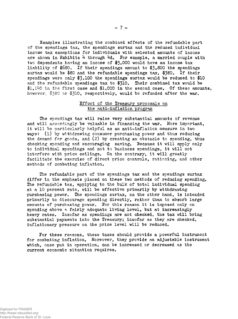Examples illustrating the combined effects of the refundable part of the spendings tax, the spendings surtax and the reduced individual income tax exemptions for individuals with selected amounts of income are shown in Exhibits  $4$  through  $4d$ . For example, a married couple with two dependents having an income of \$5,000 would have an income tax liability of  $$680.$  If their spendings amount to  $$3.800$  the spendings surtax would be \$80 and the refundable spendings tax,  $$380.$  If their spendings were only  $$3,100$  the spendings surtax would be reduced to  $$10$ and the refundable spendings tax to  $$310.$  Their combined tax would be  $$1,140$  in the first case and  $$1,000$  in the second case. Of these amounts, however, \$380 or \$310, respectively, would be refunded after the war.

### Effect of the Treasury proposals on the anti~inflation program

The spendings tax will raise very substantial amounts of revenue and will accordingly be valuable in financing the war. More important, it will be particularly helpful as an anti-inflation measure in two ways: (1) by withdrawing consumer purchasing power and thus reducing the demand for goods, and (2) by creating an obstacle to spending, thus checking spending and encouraging saving. Because it will apply only to individual spendings and not to business spendings, it will not interfere with price ceilings. On the contrary, it will greatly facilitate the exercise of direct price controls, rationing, and other methods of combating inflation.

The refundable part of the spendings tax and the spendings surtax differ in the emphasis placed on these two methods of reducing spending. The refundable tax, applying to the bulk of total individual spending at a 10 percent rate, will be effective primarily by withdrawing purchasing power. The spendings surtax, on the other hand, is intended primarily to discourage spending directly, rather than to absorb large amounts of purchasing power. Tor this reason it is imposed only on spending above a fairly adequate living level, but at increasingly heavy rates. Insofar as spendings are not checked, the tax will bring substantial payments into the Treasury; insofar as they are checked, inflationary pressure on the price level will be reduced.

For these reasons, these taxes should provide a powerful instrument for combating inflation, Moreover, they provide an adjustable instrument which, once put in operation, can be increased or decreased as the current economic situation requires.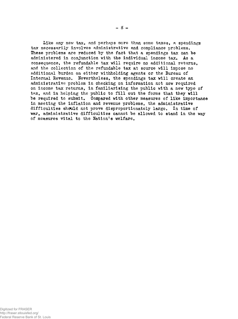Like any new tax, and perhaps more than some taxes, a spendings tax necessarily involves administrative and compliance problems. These problems are reduced by the fact that a spendings tax can be administered in conjunction with the individual income tax. As a consequence, the refundable tax will require no additional returns, and the collection of the refundable tax at source will impose no additional burden on either withholding agents or the Bureau of Internal Revenue. Nevertheless, the spendings tax will create an administrative problem in checking on information not now required on income tax returns, in familiarizing the public with a new type of tax, and in helping the public to fill out the forms that they will be required to submit. Compared with other measures of like importance in meeting the inflation and revenue problems, the administrative difficulties should not prove disproportionately large. In time of war, administrative difficulties cannot be allowed to stand in the way of measures vital to the Nation's welfare.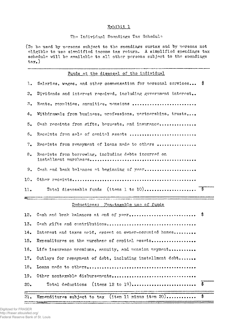### **Exhibit 1a**

#### The Individual Spendings Tax Schedule

(To be used by persons subject to the spendings surtax and by persons not eligible to use simplified income tax return. A simplified spendings tax schedule will be available to all other persons subject to the spendings tax.)

# Funds at the disposal of the individual

|     | 1. Salaries, wages, and other compensation for personal services \$ |
|-----|---------------------------------------------------------------------|
| 2.  | Dividends and interest received, including government interest      |
|     | 3. Rents, royalties, annuities, pensions                            |
| 4.  | Withdrawals from business, professions, partnerships, trusts        |
| 5.  | Cash receipts from gifts, bequests, and insurance                   |
|     | 6. Receipts from sale of capital assets                             |
| 7.  | Receipts from repayment of loans made to others                     |
| 8.  | Receipts from borrowing, including debts incurred on                |
| 9.  | Cash and bank balances at beginning of year                         |
| 10. |                                                                     |
| 11. |                                                                     |
|     |                                                                     |

#### **— I** I ., .... , ,-- ' : — i — ! . m. — H ,,,•". . Deductions: Mon-taxable use of funds

|     | 21. Expenditures subject to tax (item 11 minus item 20) \$    |  |
|-----|---------------------------------------------------------------|--|
| 20. |                                                               |  |
|     | 19. Other nontaxable disbursements                            |  |
|     |                                                               |  |
|     | 17. Outlays for repayment of debt, including installment debt |  |
|     | 16. Life insurance premiums, annuity, and pension payment     |  |
|     | 15. Expenditures on the nurchase of capital assets            |  |
|     | 14. Interest and taxes naid, excent on owner-occupied homes   |  |
|     |                                                               |  |
|     | 12. Cash and bank balances at end of year \$                  |  |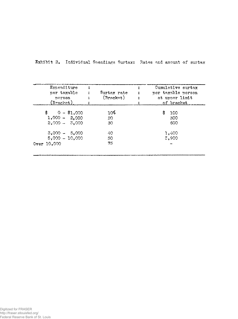| Expenditure<br>per taxable<br>person<br>(Bracket) | Surtax rate<br>(Brect) | Cumulative surtax<br>per taxable person<br>at upper limit<br>of bracket |
|---------------------------------------------------|------------------------|-------------------------------------------------------------------------|
| \$<br>$0 - $1,000$                                | 10%                    | S<br>100                                                                |
| $1,000 - 2,000$                                   | 20                     | 300                                                                     |
| $2,000 - 3,000$                                   | 30                     | 600                                                                     |
| $3,000 - 5,000$                                   | 40                     | 1,400                                                                   |
| $5,000 - 10,000$                                  | 50                     | 3,900                                                                   |
| Over 10,000                                       | 75                     |                                                                         |

Exhibit 2. Individual Spendings Surtax: Rates and amount of surtax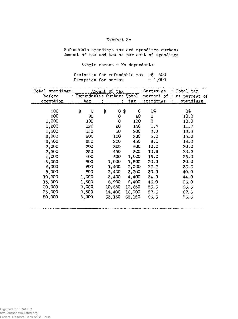### **Exhibit 2a**

Refundable spendings tax and spendings surtax: *Mount* of tax and tax as per cent of spendings

Single person - No dependents

Exclusion for refundable tax  $-$ \$ 500 Exemption for surtax  $-1,000$ 

| Total spendings: |         | Amount of tax |    |        | :Surtax as                             | Total tax     |
|------------------|---------|---------------|----|--------|----------------------------------------|---------------|
| before           |         |               |    |        | Refundable: Surtax: Total : percent of | as percent of |
| exemption        | tax     |               | ÷  | tax    | spendings                              | spendings     |
|                  |         |               |    |        |                                        |               |
| 500              | \$<br>O | \$<br>0       | \$ | 0      | 0%                                     | 0%            |
| 800              | 80      | $\circ$       |    | 80     | 0                                      | 10.0          |
| 1,000            | 100     | 0             |    | 100    | $\circ$                                | 10.0          |
| 1,200            | 120     | 20            |    | 140    | 1.7                                    | 11.7          |
| 1,500            | 150     | 50            |    | 200    | 3.3                                    | 13.3          |
| 2,000            | 200     | 100           |    | 300    | 5.0                                    | 15.0          |
| 3,500            | 250     | 200           |    | 450    | 8.0                                    | 18.0          |
| 3,000            | 300     | 300           |    | 600    | 10.0                                   | 20.0          |
| 3,500            | 350     | 450           |    | 800    | 12.9                                   | 22.9          |
| 4,000            | 400     | 600           |    | 1,000  | 15.0                                   | 25.0          |
| 5,000            | 500     | 1,000         |    | 1,500  | 20.0                                   | 30.0          |
| 6,000            | 600     | 1,400         |    | 2,000  | 23.3                                   | 33.3          |
| 8,000            | 800     | 2,400         |    | 3,200  | 30.0                                   | 40.0          |
| 10,000           | 1,000   | 3,400         |    | 4,400  | 34.0                                   | 44.0          |
| 15,000           | 1,500   | 6,900         |    | 8,400  | 46.0                                   | 56.0          |
| 20,000           | 2,000   | 10,650        |    | 12,650 | 53.3                                   | 63.3          |
| 25,000           | 2,500   | 14,400        |    | 16,900 | 57.6                                   | 67.6          |
| 50,000           | 5,000   | 33,150        |    | 38,150 | 66.3                                   | 76.3          |
|                  |         |               |    |        |                                        |               |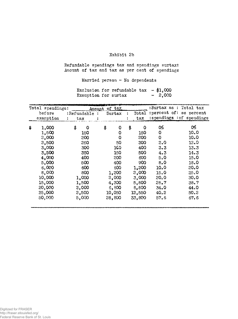### **Exhibit 2b**

Refundable spendings tax and spendings surtax: Amount of tax and tax as per cent of spendings

Married person - No dependents

|                      | Exclusion for refundable tax |  | $-$ \$1,000 |
|----------------------|------------------------------|--|-------------|
| Exemption for surtax |                              |  | $-2,000$    |

| Total spendings: |                   | Amount  | of tax            |     |        |                | :Surtax as : Total tax    |
|------------------|-------------------|---------|-------------------|-----|--------|----------------|---------------------------|
| before           | :Refundable :     |         | $\texttt{Surtax}$ |     | Total  |                | : percent of: as percent  |
| exemption        | $_{\rm tax}$<br>÷ | х       |                   |     | tax    |                | :spendings : of spendings |
| \$<br>1,000      | \$                | \$<br>O | 0                 | \$. | 0      | 0%             | 0%                        |
| 1,500            | 150               |         | 0                 |     | 150    | 0              | 10.0                      |
| 2,000            | 200               |         | O                 |     | 200    | 0              | 10.0                      |
| 2,500            | 250               |         | 50                |     | 300    | $S^{\bullet}O$ | 12.0                      |
| 3,000            | 300               |         | 1CO               |     | 400    | 3.3            | 13.3                      |
| 3,500            | 350               |         | 150               |     | 500    | 4.3            | 14.3                      |
| 4,000            | 400               |         | <b>SOO</b>        |     | 600    | 5.0            | 15.0                      |
| 5,000            | 500               |         | 400               |     | 900    | 8,0            | 18.0                      |
| 6,000            | 600               |         | 600               |     | 1,200  | 10.0           | 20.0                      |
| 8,000            | 800               |         | 1,200             |     | 2,000  | 15.0           | 25.0                      |
| 10,000           | 1,000             |         | 2,000             |     | 3,000  | 20.0           | 30.0                      |
| 15,000           | 1,500             |         | 4,300             |     | 5,800  | 28.7           | 38.7                      |
| 20,000           | 3,000             |         | 6,800             |     | 8,800  | 34.0           | 44.0                      |
| 25,000           | 2,500             |         | 10,050            |     | 12,550 | 40.2           | 50.3                      |
| 50,000           | 5,000             |         | 28,800            |     | 33,800 | 57.6           | 67.6                      |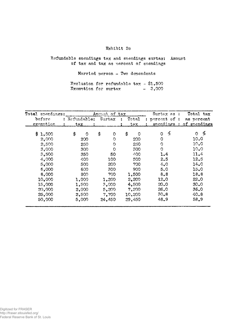# Exhibit 2c

# Refundable spendings tax and spendings surtax: Amount of tax and tax as percent of spendings

Married person  $-$  Two dependents

|                      | Exclusion for refundable $\tan x - $1,500$ |  |          |
|----------------------|--------------------------------------------|--|----------|
| Exemption for surtax |                                            |  | $-3,000$ |

|    | Total spendings: |    |             | Ameunt of tax |          |    |          | Surtax as:   | Total tax     |
|----|------------------|----|-------------|---------------|----------|----|----------|--------------|---------------|
|    | before           |    | Refundable: | Surtax        |          |    | Total    | percent of : | as percent    |
|    | exemption        |    | $\tt{tax}$  |               |          |    | tax.     | spendings    | of spendings  |
| S. | 1,500            | \$ | $\Omega$    | \$            | $\Omega$ | \$ | $\Omega$ | ф<br>0       | ℅<br>$\Omega$ |
|    | 2,000            |    | 200         |               | Ω        |    | 200      | $\circ$      | 10.0          |
|    | 2,500            |    | 250         |               | O        |    | 250      | Ω            | 10.0          |
|    | 3,000            |    | 300         |               | O        |    | 300      | 0            | 10.0          |
|    | 3,500            |    | 350         |               | 50       |    | 400      | 1.4          | 11.4          |
|    | 4,000            |    | 400         | 100.          |          |    | 500      | 2.5          | 12.5          |
|    | 5,000            |    | 500         | 200           |          |    | 700      | 4.0          | 14.0          |
|    | 6,000            |    | 600         | 300           |          |    | 900      | 5.0          | 15.0          |
|    | 8,000            |    | 800         | 700           |          |    | 1,500    | 8,8          | 18.8          |
|    | 10,000           |    | 1,000       | 1,200         |          |    | 2,200    | 12.0         | 22.0          |
|    | 15,000           |    | 1,500       | 3,000         |          |    | 4,500    | 20.0         | 30.0          |
|    | 20,000           |    | 2,000       | 5,200         |          |    | 7,200    | 26.0         | 36.0          |
|    | 25,000           |    | 2,500       | 7,700         |          |    | 10,200   | 30.8         | 40.8          |
|    | 50,000           |    | 5,000       | 24,450        |          |    | 29,450   | 48.9         | 58.9          |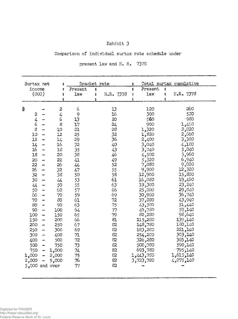# **Exhibit 3**

# Comparison of individual surtax rate schedule under

present law and H. R. 7378

| Surtax net     |                              |                  | Bracket rate |   |                | : |             |                      | Total surtax cumulative |  |
|----------------|------------------------------|------------------|--------------|---|----------------|---|-------------|----------------------|-------------------------|--|
| income         |                              | ż                | Present      | 1 |                | ŧ | Present     | $\ddot{\phantom{a}}$ |                         |  |
| (000)          |                              |                  | law          | 1 | H.R. 7378      | ÷ | law         | 1                    | H.R. 7378               |  |
|                |                              |                  |              |   |                |   |             | ÷                    |                         |  |
|                |                              |                  |              |   |                |   |             |                      |                         |  |
| \$             |                              | $\boldsymbol{z}$ | 6            |   | 13             |   | 120         |                      | 260                     |  |
| 2              |                              | 4                | 9            |   | 16             |   | 300         |                      | 530                     |  |
| $\frac{1}{4}$  |                              | 6                | 13           |   | 20             |   | 560         |                      | $-980$                  |  |
| 6              |                              | $\mathbf S$      | 17           |   | 24             |   | 900         |                      | 1,460                   |  |
| $\mbox{8}$     | -                            | 10               | 21           |   | 28             |   | 1,320       |                      | 2,020                   |  |
| 10             | $\rightarrow$                | 12               | 25           |   | 32             |   | 1,820       |                      | 2,660                   |  |
| 12             | $\overline{\phantom{0}}$     | 14               | 29           |   | 36             |   | 2,400       |                      | 3,380                   |  |
| 14             | $\overline{\phantom{0}}$     | $16\,$           | 32           |   | 40             |   | 3,040       |                      | 4,180                   |  |
| 16             |                              | 18               | 35           |   | $\mathcal{L}3$ |   | 3,740       |                      | 5,040                   |  |
| 18             | $\overline{\phantom{a}}$     | 20               | 38           |   | 46             |   | 4,500       |                      | 960,5                   |  |
| 20             | $\overline{\phantom{a}}$     | 22.              | 41           |   | 49             |   | 5,320       |                      | 6,940                   |  |
| 22             | $\overline{\phantom{a}}$     | 26               | 44           |   | 52             |   | 7,080       |                      | 9,020                   |  |
| 26             | $\overline{\phantom{a}}$     | 32               | 47           |   | 55             |   | 9,900       |                      | 12,320                  |  |
| 32             | $\qquad \qquad \blacksquare$ | 38               | 50           |   | 58             |   | 12,900      |                      | 15,800                  |  |
| 38             | $\overline{\phantom{a}}$     | 44               | 53           |   | 61             |   | 16,080      |                      | 19,460                  |  |
| $\overline{4}$ |                              | 50               | 55           |   | 63             |   | 19,380      |                      | 23,240                  |  |
| 50             | $\rightarrow$                | 60               | 57           |   | 66             |   | 25,080      |                      | 29,840                  |  |
| 60             | -                            | 70               | 59           |   | 69             |   | 30,980      |                      | 740, 36                 |  |
| 70             |                              | 80               | 61           |   | 72             |   | 37,080      |                      | 43,940                  |  |
| 80             | $\rightarrow$                | 90               | 63           |   | 75             |   | 43,380      |                      | 51,440                  |  |
| 90             | $\overline{\phantom{a}}$     | 100              | 64           |   | 77             |   | 49,780      |                      | 59,140                  |  |
| 100            | $\overline{\phantom{a}}$     | 150              | 65           |   | 79             |   | 82,280      |                      | 98,640                  |  |
| 150            | $\ddot{\phantom{1}}$         | 200              | 66           |   | 81             |   | 115,280     |                      | 139,140                 |  |
| 200            | $\overline{\phantom{a}}$     | 250              | 67           |   | 82             |   | 148,780     |                      | 180,140                 |  |
| 250            | $\overline{\phantom{0}}$     | 300              | 69           |   | 82             |   | 183,280     |                      | 221,140                 |  |
| 300            | $\ddot{\phantom{1}}$         | 400              | 71           |   | 82             |   | 254,280     |                      | 303,140                 |  |
| 400            | $\blacksquare$               | 500              | 72           |   | 82             |   | 326,280     |                      | 140ر385                 |  |
| 500            | $\overline{\phantom{a}}$     | 750              | 73           |   | 82             |   | 508,780     |                      | 590,140                 |  |
| 750            | .,                           | 1,000            | 74           |   | 82             |   | 693,780     |                      | 1795,140                |  |
| 1,000          | -                            | 2,000            | 75           |   | 82             |   | 780, 443, 1 |                      | 1,615,140               |  |
| 2,000          |                              | 5,000            | 76           |   | 82             |   | 3,723,780   |                      | 4,075,140               |  |
|                |                              | $5,000$ and over | 77           |   | 82             |   |             |                      |                         |  |
|                |                              |                  |              |   |                |   |             |                      |                         |  |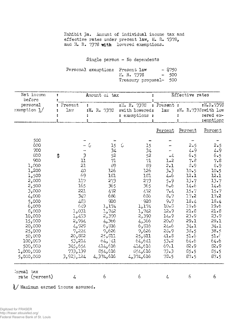Exhibit 3a. Amount of individual income tax and effective rates under present law, H. R. 7378, and H. R. 7378 with lowered exemptions.

Single person - No dependents

| Personal exemption: Present law |                        | $-$ \$750 |
|---------------------------------|------------------------|-----------|
|                                 | H. R. 7378             | $-500$    |
|                                 | Treasury proposal- 500 |           |

| Net income<br>before                                                                                                                                                                              | ÷  |                                                                                                                                                 |    | Amount of tax                                                                                                                                                    | Effective rates |                                                                                                                                                                     |                                                                                                                                                          |                                                                                                                                                                     |                                                                                                                                                                           |
|---------------------------------------------------------------------------------------------------------------------------------------------------------------------------------------------------|----|-------------------------------------------------------------------------------------------------------------------------------------------------|----|------------------------------------------------------------------------------------------------------------------------------------------------------------------|-----------------|---------------------------------------------------------------------------------------------------------------------------------------------------------------------|----------------------------------------------------------------------------------------------------------------------------------------------------------|---------------------------------------------------------------------------------------------------------------------------------------------------------------------|---------------------------------------------------------------------------------------------------------------------------------------------------------------------------|
| personal<br>exemption 1/                                                                                                                                                                          |    | Present<br>÷<br>1a                                                                                                                              |    | :H. R. 7378                                                                                                                                                      | 2.              | :H. R. 7378<br>:with lowered:<br>: exemptions :                                                                                                                     | : Present :<br>law                                                                                                                                       |                                                                                                                                                                     | :H.R.7378<br>$:H. R.7378$ : with low<br>:ered ex-<br>:emptions                                                                                                            |
|                                                                                                                                                                                                   |    |                                                                                                                                                 |    |                                                                                                                                                                  |                 |                                                                                                                                                                     | Percent                                                                                                                                                  | Percent                                                                                                                                                             | Percent                                                                                                                                                                   |
| 500<br>600<br>700<br>800<br>900<br>1,000<br>1,200<br>1,500<br>2,000<br>2,500<br>3,000<br>4,000<br>5,000<br>6,000<br>8,000<br>10,000<br>15,000<br>20,000<br>25,000<br>50,000<br>100,000<br>500,000 | \$ | 3<br>11<br>21<br>40<br>69<br>117<br>165<br>221<br>347<br>483<br>649<br>1,031<br>1,493<br>2,994<br>4,929<br>7,224<br>20,882<br>53,214<br>345,654 | ÷, | 15<br>34<br>52<br>71<br>89<br>126<br>181<br>273<br>365<br>472<br>686<br>920<br>1,174<br>1,742<br>2,390<br>4,366<br>6,316<br>9,626<br>25,811<br>64, 41<br>414,616 | $\zeta$         | 15<br>34<br>52<br>71<br>89<br>126<br>181<br>273<br>365<br>472<br>686<br>$-920$<br>1,174<br>1,742<br>2,390<br>4,366<br>6,816<br>9,626<br>25,311<br>64,641<br>414,616 | $\cdot$ 4<br>1.2<br>2.1<br>$3 - 3$<br>4.6<br>5.9<br>6.6<br>7.4<br>$8 - 7$<br>9.7<br>10.3<br>12.9<br>14.9<br>20.0<br>24.6<br>23.9<br>41.8<br>53.2<br>69.1 | 2.5<br>$4 - 9$<br>6.5<br>7.8<br>3.9<br>10.5<br>12.1<br>13.7<br>14.6<br>15.7<br>17.2<br>18.4<br>19.6<br>21.8<br>23.9<br>29.1<br>34.1<br>38.5<br>51.6<br>64.6<br>82.9 | 2.5<br>4.9<br>6.5<br>7.8<br>8.9<br>10.5<br>12.1<br>13.7<br>14.6<br>15.7<br>17.2<br>18.4<br>19.6<br>21.8<br>23.9<br>29.1<br>34.1<br>38.5<br>51. $\epsilon$<br>64.6<br>82.9 |
| 1,000,000<br>5,000,000                                                                                                                                                                            |    | 733,139<br>3,923,124                                                                                                                            |    | 854,616<br>4,374,616                                                                                                                                             |                 | 854,616<br>4,374,616                                                                                                                                                | 73.3<br>78.5                                                                                                                                             | 85.5<br>87.5                                                                                                                                                        | 35.5<br>87.5                                                                                                                                                              |
| Jormal tax<br>rate (percent)                                                                                                                                                                      |    | 4                                                                                                                                               |    | 6                                                                                                                                                                |                 | 6                                                                                                                                                                   | $\frac{1}{4}$                                                                                                                                            | 6                                                                                                                                                                   | 6                                                                                                                                                                         |

\j Maximum earned income assumed.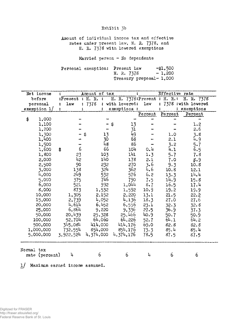# **Exhibit 3a**

Amount of individual income tax and effective rates under present law, H. R. 7378, and H. R. 7378 with lowered exemptions

Married person - No dependents

|  | Personal exemption: Present law | $-1.500$ |
|--|---------------------------------|----------|
|  | H. R. 7378                      | $-1,200$ |
|  | Treasury proposal- $1,000$      |          |

| Net income     | ÷. |           | Amount of tax      |    |                 |            | Effective rate               |                     |
|----------------|----|-----------|--------------------|----|-----------------|------------|------------------------------|---------------------|
| before         |    |           | :Present : H. R. : |    |                 |            | H. R. 7378: Present : H. R.: | H. R. 7378          |
| personal       |    | law       | : 7378             |    | : with lowered: | <b>law</b> | ÷                            | 7378 : with lowered |
| exemption 1/   |    |           |                    |    | exemptions :    |            |                              | : exemptions        |
|                |    |           |                    |    |                 | Percent    | Percent                      | Percent             |
| \$<br>1,000    |    |           |                    |    |                 |            |                              |                     |
| 1,100          |    |           |                    | S  | 13              |            |                              | 1.2                 |
| 1,200          |    |           |                    |    | 31              |            |                              | 2.6                 |
| 1,300          |    |           | \$                 | 13 | 49              |            | 1.0                          | 3.8                 |
| 1,400          |    |           |                    | 30 | 68              |            | 2.1                          | 4.9                 |
| 1,500          |    |           |                    | 48 | 86              |            | 3.2                          | 5.7                 |
| 1,600          | \$ | 6         |                    | 66 | 104             | 0.4        | 4.1                          | 6.5                 |
| 1,800          |    | 23        | 103                |    | 141             | 1.3        | 5.7                          | 7.8                 |
| 2,000          |    | 42        | 140                |    | 178             | 2.1        | 7.0                          | 8.9                 |
| 2,500          |    | 90        | 232                |    | 270             | 3.6        | 9.3                          | 10.8                |
| 3,000          |    | 138       | 324                |    | 362             | 4.6        | 10.8                         | 12.1                |
| 4,000          |    | 249       | 532                |    | 576             | 6.2        | 13.3                         | 14.4                |
| 5,000          |    | 375       | 746                |    | 790             | 7.5        | 14.9                         | 15.8                |
| 6,000          |    | 521       | 992                |    | 1,044           | 8.7        | 16.5                         | 17.4                |
| 8,000          |    | 873       | 1,532              |    | 1,592           | 10.9       | 19.2                         | 19.9                |
| 10,000         |    | 1,305     | 2,152              |    | 2,220           | 13.1       | 21.5                         | 22.2                |
| 15,000         |    | 2,739     | 4,052              |    | 4,136           | 18.3       | 27.0                         | 27.6                |
| 20,000         |    | 4.614     | 6,452              |    | 6,556           | 23.1       | 32.3                         | 32.8                |
| 25,000         |    | 6,864     | 9,220              |    | 9,336           | 27.5       | 36.9                         | 37.3                |
| 50,000         |    | 20,439    | 25,328             |    | 25,466          | 40.9       | 50.7                         | 50.9                |
| 100,000        |    | 52.704    | 64,060             |    | 64,226          | 52.7       | 64.1                         | 64.2                |
| 500,000        |    | 345,084   | 414,000            |    | 414,176         | 69.0       | 82.8                         | 82.8                |
| 1,000,000      |    | 732,554   | 854,000            |    | 854,176         | 73.3       | 85.4                         | 85.4                |
| 5,000,000      |    | 3,922,524 | 4,374,000          |    | 4, 374, 176     | 78.5       | 87.5                         | 87.5                |
|                |    |           |                    |    |                 |            |                              |                     |
| Normal tax     |    |           |                    |    |                 |            |                              |                     |
| rate (percent) |    | 4         | 6                  |    | 6               | 4          | 6                            | 6                   |

1/ Maximum earned income assumed.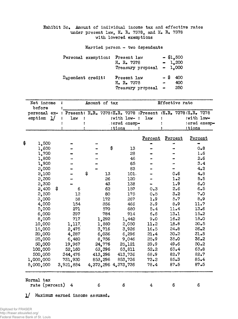Exhibit 3c» Amount of individual income tax and effective rates under present law, H. R. 7378, and H. R. 7378 with lowered exemptions

Married person - two dependents

| Personal exemption: | Present law<br>H. R. 7378<br>Treasury proposal $-1,000$ | $-$ \$1,500<br>$-1.200$     |  |
|---------------------|---------------------------------------------------------|-----------------------------|--|
| Dependent credit:   | Present law<br>H. R. 7378<br>Treasury proposal          | $-$ \$<br>400<br>400<br>250 |  |

| Net income :<br>before                                                    |  |      | Amount of tax |                     | Effective rate |              |
|---------------------------------------------------------------------------|--|------|---------------|---------------------|----------------|--------------|
| personal ex- : Present: H.R. 7378:H.R. 7378 :Present :H.R. 7378:H.R. 7378 |  |      |               |                     |                |              |
| $emption$ $1/$                                                            |  | law: | :ered exemp-  | : with $low-$ : law | :with low-     | :ered exemp- |
|                                                                           |  |      | :tions        |                     | :tions         |              |

|                              |           |          |                         | Percent        | Percent | <u>Percent</u> |
|------------------------------|-----------|----------|-------------------------|----------------|---------|----------------|
| \$<br>1,500                  |           |          |                         |                | w.      |                |
| 1,600                        |           |          | \$<br>13                |                |         | $0 - 8$        |
| 1,700                        |           |          | 28                      |                |         | 1.6            |
| 1,800                        |           |          | 46                      |                |         | 2.6            |
| 1,900                        |           |          | 65                      |                |         | 3.4            |
| 3,000                        |           |          | 83                      |                |         | 4.2            |
| 2,100                        |           | \$<br>13 | 101.                    |                | $0 - 6$ | 4.8            |
| 3,200                        |           | 26       | 120                     |                | 1.2     | 5, 5           |
| 3,300                        |           | 43       | 138                     |                | 1.9     | 6.0            |
| 2,400                        | \$<br>6   | 62       | 157                     | 0.3            | 2.6     | 6.5            |
| 2,500                        | 12        | 80       | 175                     | 0.5            | 3.2     | 7.0            |
| 3,000                        | 58        | 172      | 267                     | 1.9            | 5.7     | 8.9            |
| 4,000                        | 154       | 356      | 466                     | 3.9            | 8.9     | 11.7           |
| 5,000                        | 271       | 570      | 680                     | 5.4            | 11.4    | 13.6           |
| 6,000                        | 397       | 784      | 914                     | 6.6            | 13.1    | 15.2           |
| 8,000                        | 717       | 1,292    | 1,442                   | 9.0            | 16.2    | 18.0           |
| 10,000                       | 1,117     | 1,880    | 2,050                   | 11.2           | 18.8    | 20.5           |
| 15,000                       | 2,475     | 3,716    | 3,926                   | 16.5           | 24.8    | 26.2           |
| 20,000                       | 4,287     | 6,036    | 6,296                   | 21.4           | 30.2    | 31.5           |
| 25,000                       | 6,480     | 8,756    | 9,046                   | 25.9           | $35-0$  | 36.2           |
| 50,000                       | 19,967    | 24,776   | 25,121                  | 39.9           | 49.6    | $50 - 2$       |
| 100,000                      | 52,160    | 63,396   | 63,811                  | 52.3           | 63.4    | $63 - 8$       |
| 500,000                      | 344,476   | 413,296  | 413,736                 | 68.9           | 82.7    | 82.7           |
| 1,000,000                    | 731,930   | 853,296  | 853,736                 | 73.2           | 85.3    | $85 - 4$       |
| 5,000,000                    | 3,921,884 |          | 4, 373, 296 4, 373, 736 | 78.4           | 87.5    | 87.5           |
| Normal tax<br>rate (percent) | 4         | 6        | 6                       | $\overline{4}$ | 6       | 6              |

l/ Maximum earned income assumed»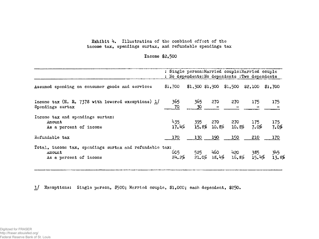# Exhibit 4. Illustration of the combined effect of the income tax, spendings surtax, and refundable spendings tax

# Income \$2,500

|                                                                                             |         | : Single person: Married couple: Married couple<br>: No dependents: No dependents : Two dependents |             |         |                     |
|---------------------------------------------------------------------------------------------|---------|----------------------------------------------------------------------------------------------------|-------------|---------|---------------------|
| Assumed spending on consumer goods and services                                             | \$1,700 | \$1,300 \$1,900 \$1,500                                                                            |             | \$2,100 | \$1,700             |
| Income tax (H. R. 7378 with lowered exemptions) $1/$ 365<br>Spendings surtax                | 70      | 365<br>30                                                                                          | 270 270 175 |         | 175                 |
| Income tax and spendings surtax:<br>Amount<br>As a percent of income                        |         | $435$ 395 270 270 175<br>17.4% 15.8% 10.8% 10.8% 7.0%                                              |             |         | $\frac{175}{7.0\%}$ |
| Refundable tax                                                                              | 170     | 130 190 150                                                                                        |             | 210     | 170                 |
| Total, income tax, spendings surtax and refundable tax:<br>Amount<br>As a percent of income |         | $605$ 525 460 420 385 345<br>24.2% 21.0% 18.4% 16.8% 15.4% 13.8%                                   |             |         |                     |

1/ Exemptions: Single person, \$500; Married couple, \$1,000; each dependent, \$250.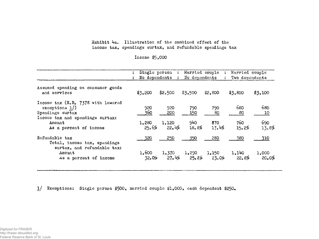# Exhibit  $4a$ . Illustration of the combined effect of the income tax, spendings surtax, and refundable spendings tax

Income \$5,000

|                                                                                                                | No dependents     | Single person:<br>$\mathbf{r}$ | No dependents  | Married couple :<br>$\ddot{\mathbf{r}}$ | Married couple<br>Two dependents |                |
|----------------------------------------------------------------------------------------------------------------|-------------------|--------------------------------|----------------|-----------------------------------------|----------------------------------|----------------|
| Assumed spending on consumer goods<br>and services                                                             | \$3,200           | \$2,500                        | \$3,500        | \$2,800                                 | \$3,800                          | \$3,100        |
| Income tax (H.R. 7378 with lowered<br>exemptions $1$ )<br>Spendings surtax<br>Income tax and spendings surtax: | 920<br><u>360</u> | 920<br>200                     | 790<br>150     | 790<br>80                               | 680<br>80                        | 680<br>10      |
| Amount<br>As a percent of income                                                                               | 1,280<br>25.6%    | 1,120<br>22.4%                 | 940<br>18.8%   | 870<br>17.4%                            | 760 -<br>15.2%                   | 690<br>13.8%   |
| Refundable tax<br>Total, income tax, spendings                                                                 | 320               | 250                            | 350            | 280                                     | 380                              | 310            |
| surtax, and refundable tax:<br>Amount<br>As a percent of income                                                | 1,600<br>32.0%    | 1,370<br>27.4%                 | 1,290<br>25.8% | 1,150<br>23.0%                          | 1,140<br>22.8%                   | 1,000<br>20.0% |

 $1/$  Exemptions: Single person \$500, married couple \$1,000, each dependent \$250.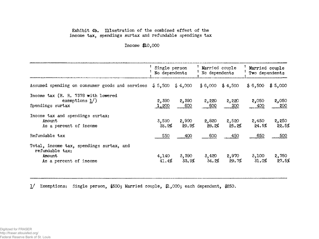# Exhibit 4b. Illustration of the combined effect of the income tax, spendings surtax and refundable spendings tax

Income \$10,000

|                                                                                                 | Single person<br>No dependents |                | Married couple<br>No dependents |                | Married couple<br>Two dependents |                |
|-------------------------------------------------------------------------------------------------|--------------------------------|----------------|---------------------------------|----------------|----------------------------------|----------------|
| Assumed spending on consumer goods and services                                                 | \$5,500                        | \$4,000        | \$6,000                         | \$4,500        | \$6,500                          | \$5,000        |
| Income tax (H. R. 7378 with lowered<br>exemptions $1/$ )<br>Spendings surtax                    | 2,390<br>1,200                 | 2,390<br>600   | 2,220<br>600                    | 2,220<br>300   | 2,050<br>400                     | 2,050<br>200   |
| Income tax and spendings surtax:<br>Amount<br>As a percent of income                            | 3,590<br>35.9%                 | 2,990<br>29.9% | 2,820<br>28.2%                  | 2,520<br>25.2% | 2,450<br>24.5%                   | 2,250<br>22.5% |
| Refundable tax                                                                                  | 550                            | 400            | 600                             | 450            | 650                              | 500            |
| Total, income tax, spendings surtax, and<br>refundable tax:<br>Amount<br>As a percent of income | 4,140<br>41.4%                 | 3.390<br>33.9% | 3,420<br>34.2%                  | 2,970<br>29.7% | 3,100<br>31.0%                   | 2,750<br>27.5% |

1/ Exemptions: Single person, #500; Married couple, \$1,000; each dependent, \$250.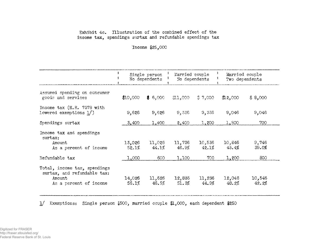# Exhibit 4c. Illustration of the combined effect of the income tax, spendings surtax and refundable spendings tax

'Income #25,000

|                                                                                                 |                 | Single person<br>No dependents |                 | Married couple<br>No dependents |                 | Married couple<br>Two dependents |
|-------------------------------------------------------------------------------------------------|-----------------|--------------------------------|-----------------|---------------------------------|-----------------|----------------------------------|
| Assumed spending on consumer<br>goods and services                                              | \$10,000        | \$6,000                        | 1,000           | $\frac{4}{9}$ 7,000             | #2,000          | \$8,000                          |
| Income tax (H.R. 7378 with<br>lowered exemptions 1/)                                            | 9,626           | 9,626                          | 9,336           | 9,336                           | 9,046           | 9,046                            |
| Spendings surtax                                                                                | 3,400           | 1,400                          | 2,400           | 1,200                           | 1,800           | 700                              |
| Income tax and spendings<br>surtax:<br>Amount<br>As a percent of income                         | 13,026<br>52.1% | 11,026<br>44.1%                | 11,736<br>46.9% | 10,536<br>42.1%                 | 10,846<br>43.4% | 9,746<br>39.0%                   |
| Refundable tax                                                                                  | 1,000           | 600                            | 1,100           | 700                             | 1,200           | 800                              |
| Total, income tax, spendings<br>surtax, and refundable tax:<br>Amount<br>As a percent of income | 14,026<br>56.1% | 11,626<br>46.5%                | 12,836<br>51.3% | 11,236<br>44.9%                 | 12,046<br>48.2% | 10,546<br>42.2%                  |

1/ Exemptions: Single person \$500, married couple \$1,000, each dependent \$250